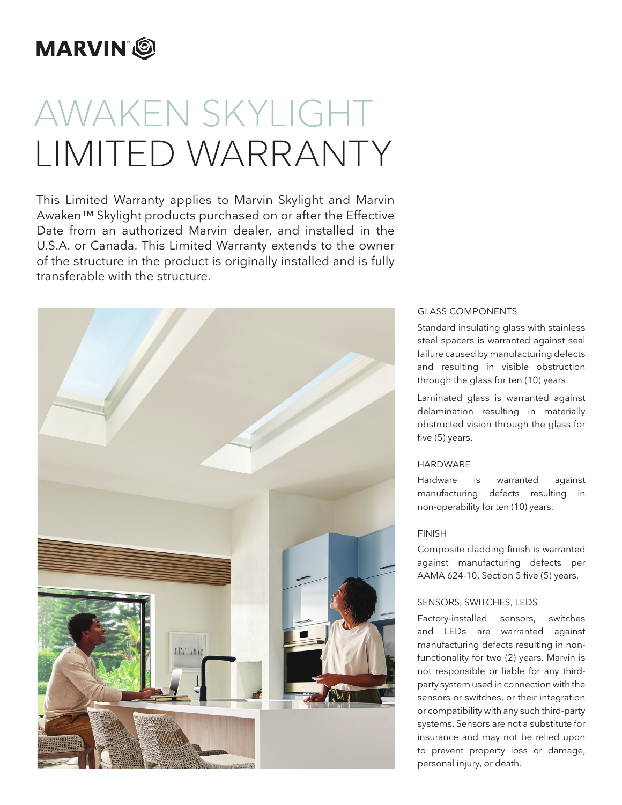# **MARVIN**<sup>®</sup>

# AWAKEN SKYLIGHT LIMITED WARRANTY

This Limited Warranty applies to Marvin Skylight and Marvin Awaken™ Skylight products purchased on or after the Effective Date from an authorized Marvin dealer, and installed in the U.S.A. or Canada. This Limited Warranty extends to the owner of the structure in the product is originally installed and is fully transferable with the structure.



# GLASS COMPONENTS

Standard insulating glass with stainless steel spacers is warranted against seal failure caused by manufacturing defects and resulting in visible obstruction through the glass for ten (10) years.

Laminated glass is warranted against delamination resulting in materially obstructed vision through the glass for five (5) years.

# HARDWARE

Hardware is warranted against manufacturing defects resulting in non-operability for ten (10) years.

# FINISH

Composite cladding finish is warranted against manufacturing defects per AAMA 624-10, Section 5 five (5) years.

### SENSORS, SWITCHES, LEDS

Factory-installed sensors, switches and LEDs are warranted against manufacturing defects resulting in nonfunctionality for two (2) years. Marvin is not responsible or liable for any thirdparty system used in connection with the sensors or switches, or their integration or compatibility with any such third-party systems. Sensors are not a substitute for insurance and may not be relied upon to prevent property loss or damage, personal injury, or death.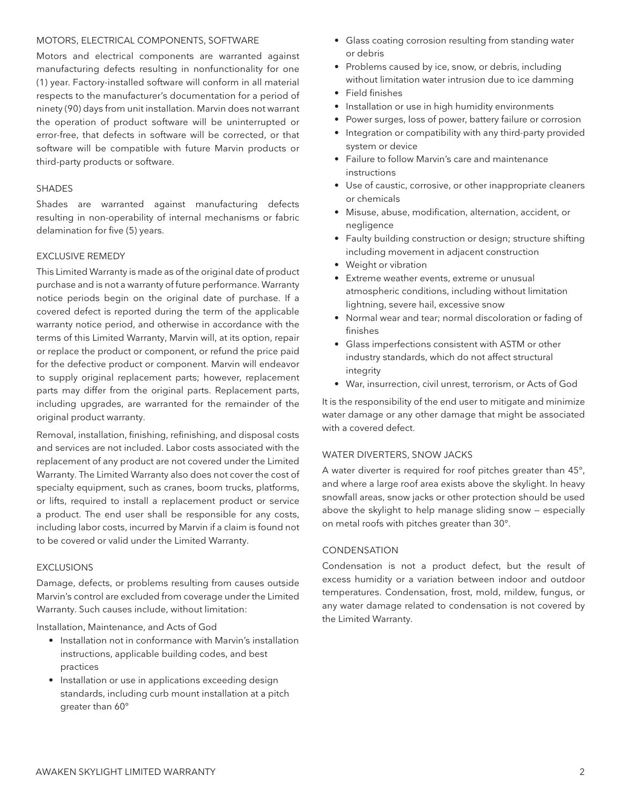#### MOTORS, ELECTRICAL COMPONENTS, SOFTWARE

Motors and electrical components are warranted against manufacturing defects resulting in nonfunctionality for one (1) year. Factory-installed software will conform in all material respects to the manufacturer's documentation for a period of ninety (90) days from unit installation. Marvin does not warrant the operation of product software will be uninterrupted or error-free, that defects in software will be corrected, or that software will be compatible with future Marvin products or third-party products or software.

#### SHADES

Shades are warranted against manufacturing defects resulting in non-operability of internal mechanisms or fabric delamination for five (5) years.

#### EXCLUSIVE REMEDY

This Limited Warranty is made as of the original date of product purchase and is not a warranty of future performance. Warranty notice periods begin on the original date of purchase. If a covered defect is reported during the term of the applicable warranty notice period, and otherwise in accordance with the terms of this Limited Warranty, Marvin will, at its option, repair or replace the product or component, or refund the price paid for the defective product or component. Marvin will endeavor to supply original replacement parts; however, replacement parts may differ from the original parts. Replacement parts, including upgrades, are warranted for the remainder of the original product warranty.

Removal, installation, finishing, refinishing, and disposal costs and services are not included. Labor costs associated with the replacement of any product are not covered under the Limited Warranty. The Limited Warranty also does not cover the cost of specialty equipment, such as cranes, boom trucks, platforms, or lifts, required to install a replacement product or service a product. The end user shall be responsible for any costs, including labor costs, incurred by Marvin if a claim is found not to be covered or valid under the Limited Warranty.

#### EXCLUSIONS

Damage, defects, or problems resulting from causes outside Marvin's control are excluded from coverage under the Limited Warranty. Such causes include, without limitation:

Installation, Maintenance, and Acts of God

- Installation not in conformance with Marvin's installation instructions, applicable building codes, and best practices
- Installation or use in applications exceeding design standards, including curb mount installation at a pitch greater than 60°
- Glass coating corrosion resulting from standing water or debris
- Problems caused by ice, snow, or debris, including without limitation water intrusion due to ice damming
- Field finishes
- Installation or use in high humidity environments
- Power surges, loss of power, battery failure or corrosion
- Integration or compatibility with any third-party provided system or device
- Failure to follow Marvin's care and maintenance instructions
- Use of caustic, corrosive, or other inappropriate cleaners or chemicals
- Misuse, abuse, modification, alternation, accident, or negligence
- Faulty building construction or design; structure shifting including movement in adjacent construction
- Weight or vibration
- Extreme weather events, extreme or unusual atmospheric conditions, including without limitation lightning, severe hail, excessive snow
- Normal wear and tear; normal discoloration or fading of finishes
- Glass imperfections consistent with ASTM or other industry standards, which do not affect structural integrity
- War, insurrection, civil unrest, terrorism, or Acts of God

It is the responsibility of the end user to mitigate and minimize water damage or any other damage that might be associated with a covered defect.

# WATER DIVERTERS, SNOW JACKS

A water diverter is required for roof pitches greater than 45°, and where a large roof area exists above the skylight. In heavy snowfall areas, snow jacks or other protection should be used above the skylight to help manage sliding snow — especially on metal roofs with pitches greater than 30°.

#### **CONDENSATION**

Condensation is not a product defect, but the result of excess humidity or a variation between indoor and outdoor temperatures. Condensation, frost, mold, mildew, fungus, or any water damage related to condensation is not covered by the Limited Warranty.